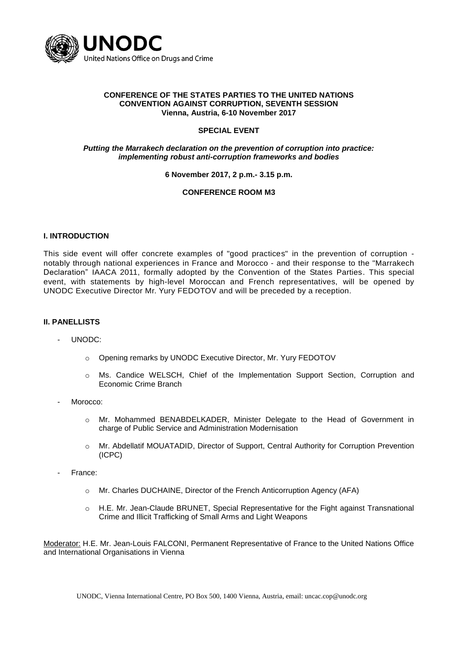

#### **CONFERENCE OF THE STATES PARTIES TO THE UNITED NATIONS CONVENTION AGAINST CORRUPTION, SEVENTH SESSION Vienna, Austria, 6-10 November 2017**

# **SPECIAL EVENT**

# *Putting the Marrakech declaration on the prevention of corruption into practice: implementing robust anti-corruption frameworks and bodies*

# **6 November 2017, 2 p.m.- 3.15 p.m.**

# **CONFERENCE ROOM M3**

# **I. INTRODUCTION**

This side event will offer concrete examples of "good practices" in the prevention of corruption notably through national experiences in France and Morocco - and their response to the "Marrakech Declaration" IAACA 2011, formally adopted by the Convention of the States Parties. This special event, with statements by high-level Moroccan and French representatives, will be opened by UNODC Executive Director Mr. Yury FEDOTOV and will be preceded by a reception.

#### **II. PANELLISTS**

- UNODC:
	- o Opening remarks by UNODC Executive Director, Mr. Yury FEDOTOV
	- o Ms. Candice WELSCH, Chief of the Implementation Support Section, Corruption and Economic Crime Branch
- Morocco:
	- o Mr. Mohammed BENABDELKADER, Minister Delegate to the Head of Government in charge of Public Service and Administration Modernisation
	- o Mr. Abdellatif MOUATADID, Director of Support, Central Authority for Corruption Prevention (ICPC)
- France:
	- o Mr. Charles DUCHAINE, Director of the French Anticorruption Agency (AFA)
	- o H.E. Mr. Jean-Claude BRUNET, Special Representative for the Fight against Transnational Crime and Illicit Trafficking of Small Arms and Light Weapons

Moderator: H.E. Mr. Jean-Louis FALCONI, Permanent Representative of France to the United Nations Office and International Organisations in Vienna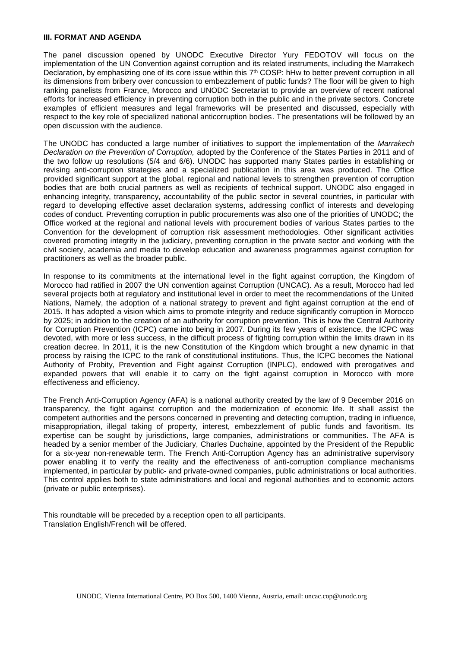#### **III. FORMAT AND AGENDA**

The panel discussion opened by UNODC Executive Director Yury FEDOTOV will focus on the implementation of the UN Convention against corruption and its related instruments, including the Marrakech Declaration, by emphasizing one of its core issue within this  $7<sup>th</sup> COSP$ : hHw to better prevent corruption in all its dimensions from bribery over concussion to embezzlement of public funds? The floor will be given to high ranking panelists from France, Morocco and UNODC Secretariat to provide an overview of recent national efforts for increased efficiency in preventing corruption both in the public and in the private sectors. Concrete examples of efficient measures and legal frameworks will be presented and discussed, especially with respect to the key role of specialized national anticorruption bodies. The presentations will be followed by an open discussion with the audience.

The UNODC has conducted a large number of initiatives to support the implementation of the *Marrakech Declaration on the Prevention of Corruption,* adopted by the Conference of the States Parties in 2011 and of the two follow up resolutions (5/4 and 6/6). UNODC has supported many States parties in establishing or revising anti-corruption strategies and a specialized publication in this area was produced. The Office provided significant support at the global, regional and national levels to strengthen prevention of corruption bodies that are both crucial partners as well as recipients of technical support. UNODC also engaged in enhancing integrity, transparency, accountability of the public sector in several countries, in particular with regard to developing effective asset declaration systems, addressing conflict of interests and developing codes of conduct. Preventing corruption in public procurements was also one of the priorities of UNODC; the Office worked at the regional and national levels with procurement bodies of various States parties to the Convention for the development of corruption risk assessment methodologies. Other significant activities covered promoting integrity in the judiciary, preventing corruption in the private sector and working with the civil society, academia and media to develop education and awareness programmes against corruption for practitioners as well as the broader public.

In response to its commitments at the international level in the fight against corruption, the Kingdom of Morocco had ratified in 2007 the UN convention against Corruption (UNCAC). As a result, Morocco had led several projects both at regulatory and institutional level in order to meet the recommendations of the United Nations, Namely, the adoption of a national strategy to prevent and fight against corruption at the end of 2015. It has adopted a vision which aims to promote integrity and reduce significantly corruption in Morocco by 2025; in addition to the creation of an authority for corruption prevention. This is how the Central Authority for Corruption Prevention (ICPC) came into being in 2007. During its few years of existence, the ICPC was devoted, with more or less success, in the difficult process of fighting corruption within the limits drawn in its creation decree. In 2011, it is the new Constitution of the Kingdom which brought a new dynamic in that process by raising the ICPC to the rank of constitutional institutions. Thus, the ICPC becomes the National Authority of Probity, Prevention and Fight against Corruption (INPLC), endowed with prerogatives and expanded powers that will enable it to carry on the fight against corruption in Morocco with more effectiveness and efficiency.

The French Anti-Corruption Agency (AFA) is a national authority created by the law of 9 December 2016 on transparency, the fight against corruption and the modernization of economic life. It shall assist the competent authorities and the persons concerned in preventing and detecting corruption, trading in influence, misappropriation, illegal taking of property, interest, embezzlement of public funds and favoritism. Its expertise can be sought by jurisdictions, large companies, administrations or communities. The AFA is headed by a senior member of the Judiciary, Charles Duchaine, appointed by the President of the Republic for a six-year non-renewable term. The French Anti-Corruption Agency has an administrative supervisory power enabling it to verify the reality and the effectiveness of anti-corruption compliance mechanisms implemented, in particular by public- and private-owned companies, public administrations or local authorities. This control applies both to state administrations and local and regional authorities and to economic actors (private or public enterprises).

This roundtable will be preceded by a reception open to all participants. Translation English/French will be offered.